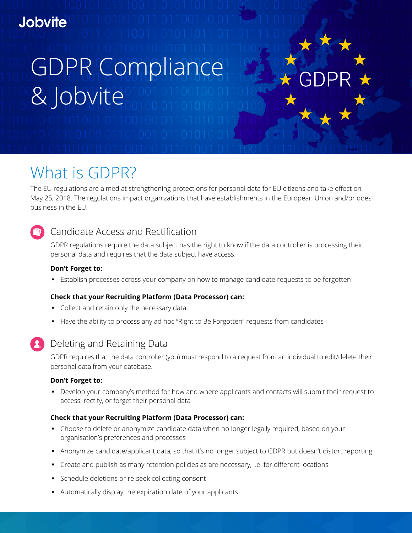# **Jobvite**

# GDPR Compliance **& Jobvite**

What is GDPR?

The EU regulations are aimed at strengthening protections for personal data for EU citizens and take effect on May 25, 2018. The regulations impact organizations that have establishments in the European Union and/or does business in the EU.

### Candidate Access and Rectification

GDPR regulations require the data subject has the right to know if the data controller is processing their personal data and requires that the data subject have access.

### **Don't Forget to:**

**•** Establish processes across your company on how to manage candidate requests to be forgotten

### **Check that your Recruiting Platform (Data Processor) can:**

- **•** Collect and retain only the necessary data
- **•** Have the ability to process any ad hoc "Right to Be Forgotten" requests from candidates
- 

### Deleting and Retaining Data

GDPR requires that the data controller (you) must respond to a request from an individual to edit/delete their personal data from your database.

### **Don't Forget to:**

**•** Develop your company's method for how and where applicants and contacts will submit their request to access, rectify, or forget their personal data

### **Check that your Recruiting Platform (Data Processor) can:**

- **•** Choose to delete or anonymize candidate data when no longer legally required, based on your organisation's preferences and processes
- **•** Anonymize candidate/applicant data, so that it's no longer subject to GDPR but doesn't distort reporting
- **•** Create and publish as many retention policies as are necessary, i.e. for different locations
- **•** Schedule deletions or re-seek collecting consent
- **•** Automatically display the expiration date of your applicants